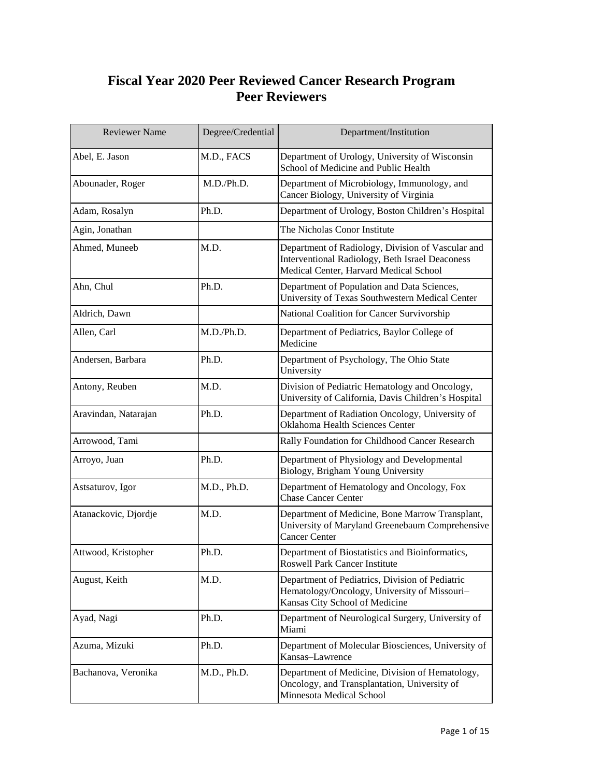## **Fiscal Year 2020 Peer Reviewed Cancer Research Program Peer Reviewers**

| <b>Reviewer Name</b> | Degree/Credential | Department/Institution                                                                                                                         |
|----------------------|-------------------|------------------------------------------------------------------------------------------------------------------------------------------------|
| Abel, E. Jason       | M.D., FACS        | Department of Urology, University of Wisconsin<br>School of Medicine and Public Health                                                         |
| Abounader, Roger     | M.D./Ph.D.        | Department of Microbiology, Immunology, and<br>Cancer Biology, University of Virginia                                                          |
| Adam, Rosalyn        | Ph.D.             | Department of Urology, Boston Children's Hospital                                                                                              |
| Agin, Jonathan       |                   | The Nicholas Conor Institute                                                                                                                   |
| Ahmed, Muneeb        | M.D.              | Department of Radiology, Division of Vascular and<br>Interventional Radiology, Beth Israel Deaconess<br>Medical Center, Harvard Medical School |
| Ahn, Chul            | Ph.D.             | Department of Population and Data Sciences,<br>University of Texas Southwestern Medical Center                                                 |
| Aldrich, Dawn        |                   | National Coalition for Cancer Survivorship                                                                                                     |
| Allen, Carl          | M.D./Ph.D.        | Department of Pediatrics, Baylor College of<br>Medicine                                                                                        |
| Andersen, Barbara    | Ph.D.             | Department of Psychology, The Ohio State<br>University                                                                                         |
| Antony, Reuben       | M.D.              | Division of Pediatric Hematology and Oncology,<br>University of California, Davis Children's Hospital                                          |
| Aravindan, Natarajan | Ph.D.             | Department of Radiation Oncology, University of<br>Oklahoma Health Sciences Center                                                             |
| Arrowood, Tami       |                   | Rally Foundation for Childhood Cancer Research                                                                                                 |
| Arroyo, Juan         | Ph.D.             | Department of Physiology and Developmental<br>Biology, Brigham Young University                                                                |
| Astsaturov, Igor     | M.D., Ph.D.       | Department of Hematology and Oncology, Fox<br><b>Chase Cancer Center</b>                                                                       |
| Atanackovic, Djordje | M.D.              | Department of Medicine, Bone Marrow Transplant,<br>University of Maryland Greenebaum Comprehensive<br><b>Cancer Center</b>                     |
| Attwood, Kristopher  | Ph.D.             | Department of Biostatistics and Bioinformatics,<br>Roswell Park Cancer Institute                                                               |
| August, Keith        | M.D.              | Department of Pediatrics, Division of Pediatric<br>Hematology/Oncology, University of Missouri-<br>Kansas City School of Medicine              |
| Ayad, Nagi           | Ph.D.             | Department of Neurological Surgery, University of<br>Miami                                                                                     |
| Azuma, Mizuki        | Ph.D.             | Department of Molecular Biosciences, University of<br>Kansas-Lawrence                                                                          |
| Bachanova, Veronika  | M.D., Ph.D.       | Department of Medicine, Division of Hematology,<br>Oncology, and Transplantation, University of<br>Minnesota Medical School                    |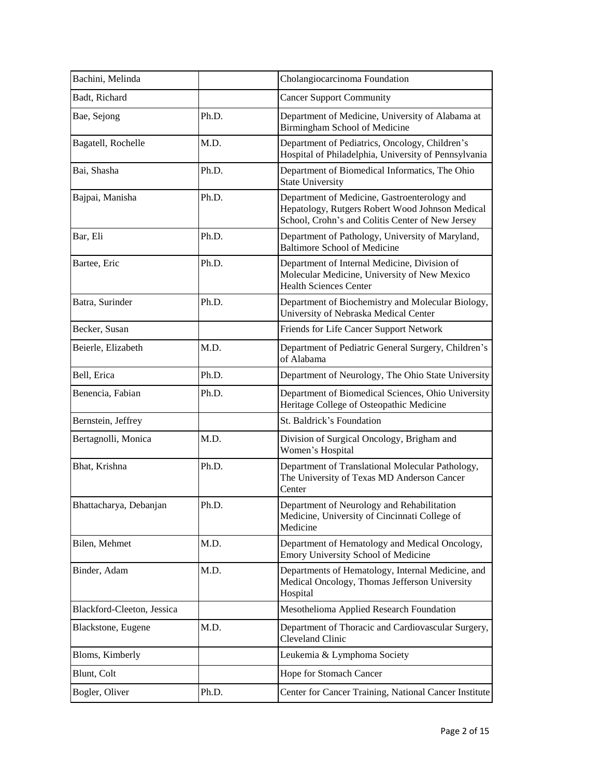| Bachini, Melinda           |       | Cholangiocarcinoma Foundation                                                                                                                       |
|----------------------------|-------|-----------------------------------------------------------------------------------------------------------------------------------------------------|
| Badt, Richard              |       | <b>Cancer Support Community</b>                                                                                                                     |
| Bae, Sejong                | Ph.D. | Department of Medicine, University of Alabama at<br>Birmingham School of Medicine                                                                   |
| Bagatell, Rochelle         | M.D.  | Department of Pediatrics, Oncology, Children's<br>Hospital of Philadelphia, University of Pennsylvania                                              |
| Bai, Shasha                | Ph.D. | Department of Biomedical Informatics, The Ohio<br><b>State University</b>                                                                           |
| Bajpai, Manisha            | Ph.D. | Department of Medicine, Gastroenterology and<br>Hepatology, Rutgers Robert Wood Johnson Medical<br>School, Crohn's and Colitis Center of New Jersey |
| Bar, Eli                   | Ph.D. | Department of Pathology, University of Maryland,<br><b>Baltimore School of Medicine</b>                                                             |
| Bartee, Eric               | Ph.D. | Department of Internal Medicine, Division of<br>Molecular Medicine, University of New Mexico<br><b>Health Sciences Center</b>                       |
| Batra, Surinder            | Ph.D. | Department of Biochemistry and Molecular Biology,<br>University of Nebraska Medical Center                                                          |
| Becker, Susan              |       | Friends for Life Cancer Support Network                                                                                                             |
| Beierle, Elizabeth         | M.D.  | Department of Pediatric General Surgery, Children's<br>of Alabama                                                                                   |
| Bell, Erica                | Ph.D. | Department of Neurology, The Ohio State University                                                                                                  |
| Benencia, Fabian           | Ph.D. | Department of Biomedical Sciences, Ohio University<br>Heritage College of Osteopathic Medicine                                                      |
| Bernstein, Jeffrey         |       | St. Baldrick's Foundation                                                                                                                           |
| Bertagnolli, Monica        | M.D.  | Division of Surgical Oncology, Brigham and<br>Women's Hospital                                                                                      |
| Bhat, Krishna              | Ph.D. | Department of Translational Molecular Pathology,<br>The University of Texas MD Anderson Cancer<br>Center                                            |
| Bhattacharya, Debanjan     | Ph.D. | Department of Neurology and Rehabilitation<br>Medicine, University of Cincinnati College of<br>Medicine                                             |
| Bilen, Mehmet              | M.D.  | Department of Hematology and Medical Oncology,<br>Emory University School of Medicine                                                               |
| Binder, Adam               | M.D.  | Departments of Hematology, Internal Medicine, and<br>Medical Oncology, Thomas Jefferson University<br>Hospital                                      |
| Blackford-Cleeton, Jessica |       | Mesothelioma Applied Research Foundation                                                                                                            |
| Blackstone, Eugene         | M.D.  | Department of Thoracic and Cardiovascular Surgery,<br>Cleveland Clinic                                                                              |
| Bloms, Kimberly            |       | Leukemia & Lymphoma Society                                                                                                                         |
| Blunt, Colt                |       | Hope for Stomach Cancer                                                                                                                             |
| Bogler, Oliver             | Ph.D. | Center for Cancer Training, National Cancer Institute                                                                                               |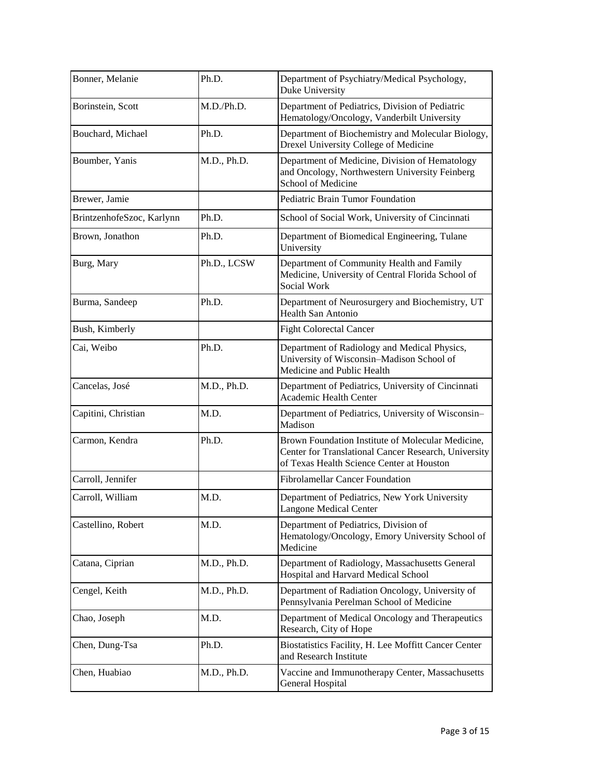| Bonner, Melanie           | Ph.D.       | Department of Psychiatry/Medical Psychology,<br>Duke University                                                                                        |
|---------------------------|-------------|--------------------------------------------------------------------------------------------------------------------------------------------------------|
| Borinstein, Scott         | M.D./Ph.D.  | Department of Pediatrics, Division of Pediatric<br>Hematology/Oncology, Vanderbilt University                                                          |
| Bouchard, Michael         | Ph.D.       | Department of Biochemistry and Molecular Biology,<br>Drexel University College of Medicine                                                             |
| Boumber, Yanis            | M.D., Ph.D. | Department of Medicine, Division of Hematology<br>and Oncology, Northwestern University Feinberg<br>School of Medicine                                 |
| Brewer, Jamie             |             | Pediatric Brain Tumor Foundation                                                                                                                       |
| BrintzenhofeSzoc, Karlynn | Ph.D.       | School of Social Work, University of Cincinnati                                                                                                        |
| Brown, Jonathon           | Ph.D.       | Department of Biomedical Engineering, Tulane<br>University                                                                                             |
| Burg, Mary                | Ph.D., LCSW | Department of Community Health and Family<br>Medicine, University of Central Florida School of<br>Social Work                                          |
| Burma, Sandeep            | Ph.D.       | Department of Neurosurgery and Biochemistry, UT<br><b>Health San Antonio</b>                                                                           |
| Bush, Kimberly            |             | <b>Fight Colorectal Cancer</b>                                                                                                                         |
| Cai, Weibo                | Ph.D.       | Department of Radiology and Medical Physics,<br>University of Wisconsin-Madison School of<br>Medicine and Public Health                                |
| Cancelas, José            | M.D., Ph.D. | Department of Pediatrics, University of Cincinnati<br>Academic Health Center                                                                           |
| Capitini, Christian       | M.D.        | Department of Pediatrics, University of Wisconsin-<br>Madison                                                                                          |
| Carmon, Kendra            | Ph.D.       | Brown Foundation Institute of Molecular Medicine,<br>Center for Translational Cancer Research, University<br>of Texas Health Science Center at Houston |
| Carroll, Jennifer         |             | <b>Fibrolamellar Cancer Foundation</b>                                                                                                                 |
| Carroll, William          | M.D.        | Department of Pediatrics, New York University<br>Langone Medical Center                                                                                |
| Castellino, Robert        | M.D.        | Department of Pediatrics, Division of<br>Hematology/Oncology, Emory University School of<br>Medicine                                                   |
| Catana, Ciprian           | M.D., Ph.D. | Department of Radiology, Massachusetts General<br>Hospital and Harvard Medical School                                                                  |
| Cengel, Keith             | M.D., Ph.D. | Department of Radiation Oncology, University of<br>Pennsylvania Perelman School of Medicine                                                            |
| Chao, Joseph              | M.D.        | Department of Medical Oncology and Therapeutics<br>Research, City of Hope                                                                              |
| Chen, Dung-Tsa            | Ph.D.       | Biostatistics Facility, H. Lee Moffitt Cancer Center<br>and Research Institute                                                                         |
| Chen, Huabiao             | M.D., Ph.D. | Vaccine and Immunotherapy Center, Massachusetts<br>General Hospital                                                                                    |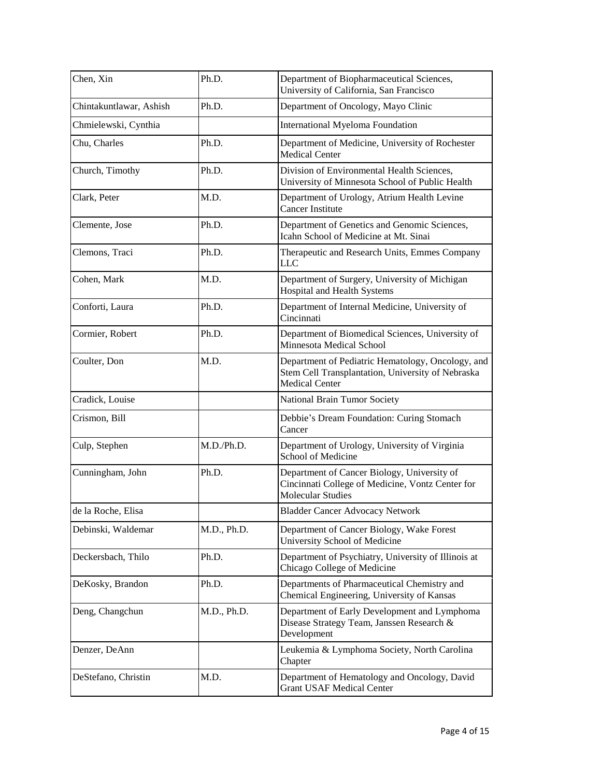| Chen, Xin               | Ph.D.       | Department of Biopharmaceutical Sciences,<br>University of California, San Francisco                                            |
|-------------------------|-------------|---------------------------------------------------------------------------------------------------------------------------------|
| Chintakuntlawar, Ashish | Ph.D.       | Department of Oncology, Mayo Clinic                                                                                             |
| Chmielewski, Cynthia    |             | <b>International Myeloma Foundation</b>                                                                                         |
| Chu, Charles            | Ph.D.       | Department of Medicine, University of Rochester<br><b>Medical Center</b>                                                        |
| Church, Timothy         | Ph.D.       | Division of Environmental Health Sciences,<br>University of Minnesota School of Public Health                                   |
| Clark, Peter            | M.D.        | Department of Urology, Atrium Health Levine<br><b>Cancer Institute</b>                                                          |
| Clemente, Jose          | Ph.D.       | Department of Genetics and Genomic Sciences,<br>Icahn School of Medicine at Mt. Sinai                                           |
| Clemons, Traci          | Ph.D.       | Therapeutic and Research Units, Emmes Company<br><b>LLC</b>                                                                     |
| Cohen, Mark             | M.D.        | Department of Surgery, University of Michigan<br>Hospital and Health Systems                                                    |
| Conforti, Laura         | Ph.D.       | Department of Internal Medicine, University of<br>Cincinnati                                                                    |
| Cormier, Robert         | Ph.D.       | Department of Biomedical Sciences, University of<br>Minnesota Medical School                                                    |
| Coulter, Don            | M.D.        | Department of Pediatric Hematology, Oncology, and<br>Stem Cell Transplantation, University of Nebraska<br><b>Medical Center</b> |
| Cradick, Louise         |             | National Brain Tumor Society                                                                                                    |
| Crismon, Bill           |             | Debbie's Dream Foundation: Curing Stomach<br>Cancer                                                                             |
| Culp, Stephen           | M.D./Ph.D.  | Department of Urology, University of Virginia<br>School of Medicine                                                             |
| Cunningham, John        | Ph.D.       | Department of Cancer Biology, University of<br>Cincinnati College of Medicine, Vontz Center for<br><b>Molecular Studies</b>     |
| de la Roche, Elisa      |             | <b>Bladder Cancer Advocacy Network</b>                                                                                          |
| Debinski, Waldemar      | M.D., Ph.D. | Department of Cancer Biology, Wake Forest<br>University School of Medicine                                                      |
| Deckersbach, Thilo      | Ph.D.       | Department of Psychiatry, University of Illinois at<br>Chicago College of Medicine                                              |
| DeKosky, Brandon        | Ph.D.       | Departments of Pharmaceutical Chemistry and<br>Chemical Engineering, University of Kansas                                       |
| Deng, Changchun         | M.D., Ph.D. | Department of Early Development and Lymphoma<br>Disease Strategy Team, Janssen Research &<br>Development                        |
| Denzer, DeAnn           |             | Leukemia & Lymphoma Society, North Carolina<br>Chapter                                                                          |
| DeStefano, Christin     | M.D.        | Department of Hematology and Oncology, David<br><b>Grant USAF Medical Center</b>                                                |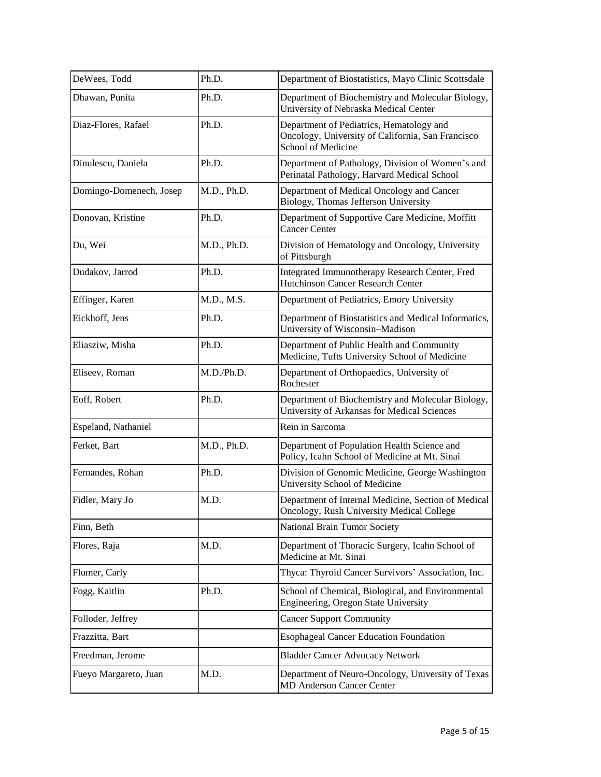| DeWees, Todd            | Ph.D.       | Department of Biostatistics, Mayo Clinic Scottsdale                                                                 |
|-------------------------|-------------|---------------------------------------------------------------------------------------------------------------------|
| Dhawan, Punita          | Ph.D.       | Department of Biochemistry and Molecular Biology,<br>University of Nebraska Medical Center                          |
| Diaz-Flores, Rafael     | Ph.D.       | Department of Pediatrics, Hematology and<br>Oncology, University of California, San Francisco<br>School of Medicine |
| Dinulescu, Daniela      | Ph.D.       | Department of Pathology, Division of Women's and<br>Perinatal Pathology, Harvard Medical School                     |
| Domingo-Domenech, Josep | M.D., Ph.D. | Department of Medical Oncology and Cancer<br>Biology, Thomas Jefferson University                                   |
| Donovan, Kristine       | Ph.D.       | Department of Supportive Care Medicine, Moffitt<br><b>Cancer Center</b>                                             |
| Du, Wei                 | M.D., Ph.D. | Division of Hematology and Oncology, University<br>of Pittsburgh                                                    |
| Dudakov, Jarrod         | Ph.D.       | Integrated Immunotherapy Research Center, Fred<br>Hutchinson Cancer Research Center                                 |
| Effinger, Karen         | M.D., M.S.  | Department of Pediatrics, Emory University                                                                          |
| Eickhoff, Jens          | Ph.D.       | Department of Biostatistics and Medical Informatics,<br>University of Wisconsin-Madison                             |
| Eliasziw, Misha         | Ph.D.       | Department of Public Health and Community<br>Medicine, Tufts University School of Medicine                          |
| Eliseev, Roman          | M.D./Ph.D.  | Department of Orthopaedics, University of<br>Rochester                                                              |
| Eoff, Robert            | Ph.D.       | Department of Biochemistry and Molecular Biology,<br>University of Arkansas for Medical Sciences                    |
| Espeland, Nathaniel     |             | Rein in Sarcoma                                                                                                     |
| Ferket, Bart            | M.D., Ph.D. | Department of Population Health Science and<br>Policy, Icahn School of Medicine at Mt. Sinai                        |
| Fernandes, Rohan        | Ph.D.       | Division of Genomic Medicine, George Washington<br>University School of Medicine                                    |
| Fidler, Mary Jo         | M.D.        | Department of Internal Medicine, Section of Medical<br>Oncology, Rush University Medical College                    |
| Finn, Beth              |             | National Brain Tumor Society                                                                                        |
| Flores, Raja            | M.D.        | Department of Thoracic Surgery, Icahn School of<br>Medicine at Mt. Sinai                                            |
| Flumer, Carly           |             | Thyca: Thyroid Cancer Survivors' Association, Inc.                                                                  |
| Fogg, Kaitlin           | Ph.D.       | School of Chemical, Biological, and Environmental<br>Engineering, Oregon State University                           |
| Folloder, Jeffrey       |             | <b>Cancer Support Community</b>                                                                                     |
| Frazzitta, Bart         |             | <b>Esophageal Cancer Education Foundation</b>                                                                       |
| Freedman, Jerome        |             | <b>Bladder Cancer Advocacy Network</b>                                                                              |
| Fueyo Margareto, Juan   | M.D.        | Department of Neuro-Oncology, University of Texas<br><b>MD Anderson Cancer Center</b>                               |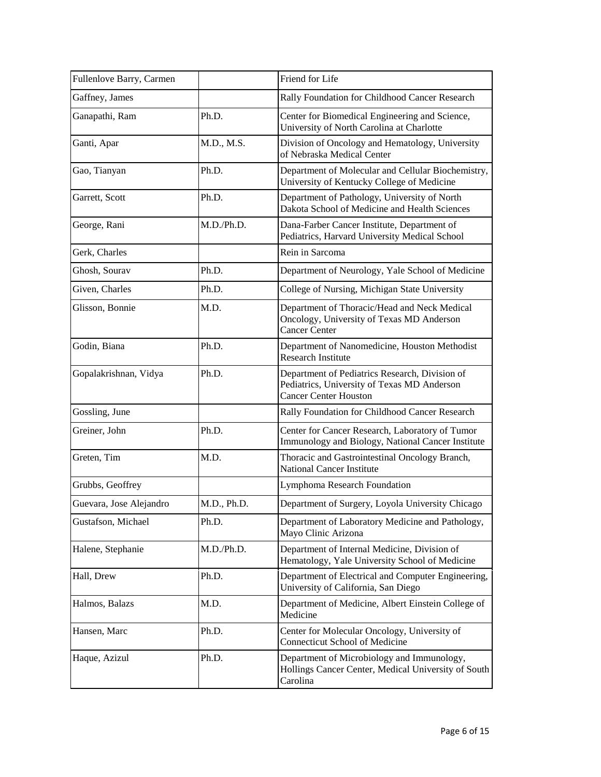| Fullenlove Barry, Carmen |             | Friend for Life                                                                                                               |
|--------------------------|-------------|-------------------------------------------------------------------------------------------------------------------------------|
| Gaffney, James           |             | Rally Foundation for Childhood Cancer Research                                                                                |
| Ganapathi, Ram           | Ph.D.       | Center for Biomedical Engineering and Science,<br>University of North Carolina at Charlotte                                   |
| Ganti, Apar              | M.D., M.S.  | Division of Oncology and Hematology, University<br>of Nebraska Medical Center                                                 |
| Gao, Tianyan             | Ph.D.       | Department of Molecular and Cellular Biochemistry,<br>University of Kentucky College of Medicine                              |
| Garrett, Scott           | Ph.D.       | Department of Pathology, University of North<br>Dakota School of Medicine and Health Sciences                                 |
| George, Rani             | M.D./Ph.D.  | Dana-Farber Cancer Institute, Department of<br>Pediatrics, Harvard University Medical School                                  |
| Gerk, Charles            |             | Rein in Sarcoma                                                                                                               |
| Ghosh, Sourav            | Ph.D.       | Department of Neurology, Yale School of Medicine                                                                              |
| Given, Charles           | Ph.D.       | College of Nursing, Michigan State University                                                                                 |
| Glisson, Bonnie          | M.D.        | Department of Thoracic/Head and Neck Medical<br>Oncology, University of Texas MD Anderson<br><b>Cancer Center</b>             |
| Godin, Biana             | Ph.D.       | Department of Nanomedicine, Houston Methodist<br><b>Research Institute</b>                                                    |
| Gopalakrishnan, Vidya    | Ph.D.       | Department of Pediatrics Research, Division of<br>Pediatrics, University of Texas MD Anderson<br><b>Cancer Center Houston</b> |
| Gossling, June           |             | Rally Foundation for Childhood Cancer Research                                                                                |
| Greiner, John            | Ph.D.       | Center for Cancer Research, Laboratory of Tumor<br>Immunology and Biology, National Cancer Institute                          |
| Greten, Tim              | M.D.        | Thoracic and Gastrointestinal Oncology Branch,<br><b>National Cancer Institute</b>                                            |
| Grubbs, Geoffrey         |             | Lymphoma Research Foundation                                                                                                  |
| Guevara, Jose Alejandro  | M.D., Ph.D. | Department of Surgery, Loyola University Chicago                                                                              |
| Gustafson, Michael       | Ph.D.       | Department of Laboratory Medicine and Pathology,<br>Mayo Clinic Arizona                                                       |
| Halene, Stephanie        | M.D./Ph.D.  | Department of Internal Medicine, Division of<br>Hematology, Yale University School of Medicine                                |
| Hall, Drew               | Ph.D.       | Department of Electrical and Computer Engineering,<br>University of California, San Diego                                     |
| Halmos, Balazs           | M.D.        | Department of Medicine, Albert Einstein College of<br>Medicine                                                                |
| Hansen, Marc             | Ph.D.       | Center for Molecular Oncology, University of<br><b>Connecticut School of Medicine</b>                                         |
| Haque, Azizul            | Ph.D.       | Department of Microbiology and Immunology,<br>Hollings Cancer Center, Medical University of South<br>Carolina                 |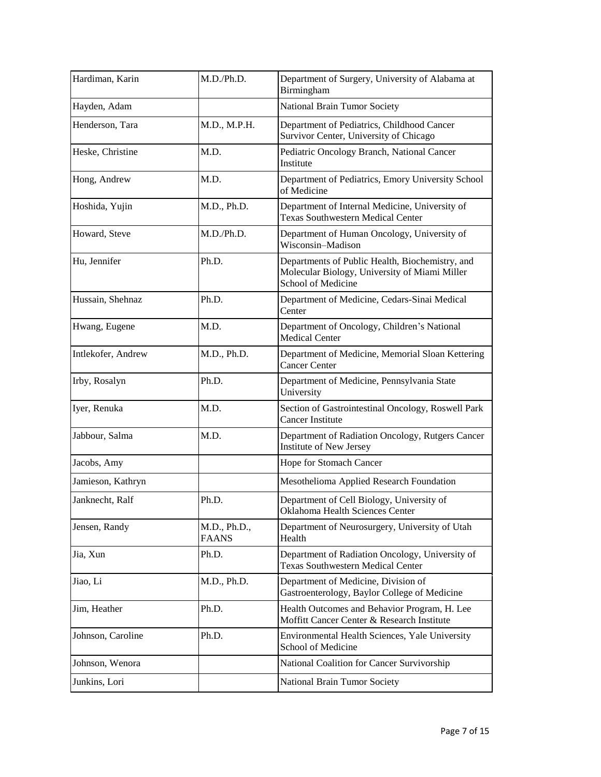| Hardiman, Karin    | M.D./Ph.D.                   | Department of Surgery, University of Alabama at<br>Birmingham                                                          |
|--------------------|------------------------------|------------------------------------------------------------------------------------------------------------------------|
| Hayden, Adam       |                              | National Brain Tumor Society                                                                                           |
| Henderson, Tara    | M.D., M.P.H.                 | Department of Pediatrics, Childhood Cancer<br>Survivor Center, University of Chicago                                   |
| Heske, Christine   | M.D.                         | Pediatric Oncology Branch, National Cancer<br>Institute                                                                |
| Hong, Andrew       | M.D.                         | Department of Pediatrics, Emory University School<br>of Medicine                                                       |
| Hoshida, Yujin     | M.D., Ph.D.                  | Department of Internal Medicine, University of<br><b>Texas Southwestern Medical Center</b>                             |
| Howard, Steve      | M.D./Ph.D.                   | Department of Human Oncology, University of<br>Wisconsin-Madison                                                       |
| Hu, Jennifer       | Ph.D.                        | Departments of Public Health, Biochemistry, and<br>Molecular Biology, University of Miami Miller<br>School of Medicine |
| Hussain, Shehnaz   | Ph.D.                        | Department of Medicine, Cedars-Sinai Medical<br>Center                                                                 |
| Hwang, Eugene      | M.D.                         | Department of Oncology, Children's National<br><b>Medical Center</b>                                                   |
| Intlekofer, Andrew | M.D., Ph.D.                  | Department of Medicine, Memorial Sloan Kettering<br><b>Cancer Center</b>                                               |
| Irby, Rosalyn      | Ph.D.                        | Department of Medicine, Pennsylvania State<br>University                                                               |
| Iyer, Renuka       | M.D.                         | Section of Gastrointestinal Oncology, Roswell Park<br><b>Cancer Institute</b>                                          |
| Jabbour, Salma     | M.D.                         | Department of Radiation Oncology, Rutgers Cancer<br>Institute of New Jersey                                            |
| Jacobs, Amy        |                              | Hope for Stomach Cancer                                                                                                |
| Jamieson, Kathryn  |                              | Mesothelioma Applied Research Foundation                                                                               |
| Janknecht, Ralf    | Ph.D.                        | Department of Cell Biology, University of<br>Oklahoma Health Sciences Center                                           |
| Jensen, Randy      | M.D., Ph.D.,<br><b>FAANS</b> | Department of Neurosurgery, University of Utah<br>Health                                                               |
| Jia, Xun           | Ph.D.                        | Department of Radiation Oncology, University of<br><b>Texas Southwestern Medical Center</b>                            |
| Jiao, Li           | M.D., Ph.D.                  | Department of Medicine, Division of<br>Gastroenterology, Baylor College of Medicine                                    |
| Jim, Heather       | Ph.D.                        | Health Outcomes and Behavior Program, H. Lee<br>Moffitt Cancer Center & Research Institute                             |
| Johnson, Caroline  | Ph.D.                        | Environmental Health Sciences, Yale University<br>School of Medicine                                                   |
| Johnson, Wenora    |                              | National Coalition for Cancer Survivorship                                                                             |
| Junkins, Lori      |                              | National Brain Tumor Society                                                                                           |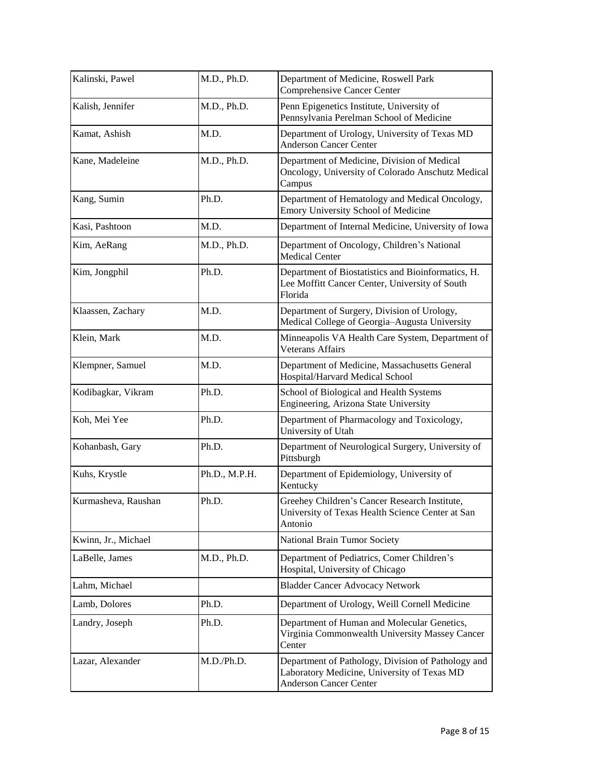| Kalinski, Pawel     | M.D., Ph.D.   | Department of Medicine, Roswell Park<br>Comprehensive Cancer Center                                                                |
|---------------------|---------------|------------------------------------------------------------------------------------------------------------------------------------|
| Kalish, Jennifer    | M.D., Ph.D.   | Penn Epigenetics Institute, University of<br>Pennsylvania Perelman School of Medicine                                              |
| Kamat, Ashish       | M.D.          | Department of Urology, University of Texas MD<br><b>Anderson Cancer Center</b>                                                     |
| Kane, Madeleine     | M.D., Ph.D.   | Department of Medicine, Division of Medical<br>Oncology, University of Colorado Anschutz Medical<br>Campus                         |
| Kang, Sumin         | Ph.D.         | Department of Hematology and Medical Oncology,<br>Emory University School of Medicine                                              |
| Kasi, Pashtoon      | M.D.          | Department of Internal Medicine, University of Iowa                                                                                |
| Kim, AeRang         | M.D., Ph.D.   | Department of Oncology, Children's National<br><b>Medical Center</b>                                                               |
| Kim, Jongphil       | Ph.D.         | Department of Biostatistics and Bioinformatics, H.<br>Lee Moffitt Cancer Center, University of South<br>Florida                    |
| Klaassen, Zachary   | M.D.          | Department of Surgery, Division of Urology,<br>Medical College of Georgia-Augusta University                                       |
| Klein, Mark         | M.D.          | Minneapolis VA Health Care System, Department of<br><b>Veterans Affairs</b>                                                        |
| Klempner, Samuel    | M.D.          | Department of Medicine, Massachusetts General<br>Hospital/Harvard Medical School                                                   |
| Kodibagkar, Vikram  | Ph.D.         | School of Biological and Health Systems<br>Engineering, Arizona State University                                                   |
| Koh, Mei Yee        | Ph.D.         | Department of Pharmacology and Toxicology,<br>University of Utah                                                                   |
| Kohanbash, Gary     | Ph.D.         | Department of Neurological Surgery, University of<br>Pittsburgh                                                                    |
| Kuhs, Krystle       | Ph.D., M.P.H. | Department of Epidemiology, University of<br>Kentucky                                                                              |
| Kurmasheva, Raushan | Ph.D.         | Greehey Children's Cancer Research Institute,<br>University of Texas Health Science Center at San<br>Antonio                       |
| Kwinn, Jr., Michael |               | National Brain Tumor Society                                                                                                       |
| LaBelle, James      | M.D., Ph.D.   | Department of Pediatrics, Comer Children's<br>Hospital, University of Chicago                                                      |
| Lahm, Michael       |               | <b>Bladder Cancer Advocacy Network</b>                                                                                             |
| Lamb, Dolores       | Ph.D.         | Department of Urology, Weill Cornell Medicine                                                                                      |
| Landry, Joseph      | Ph.D.         | Department of Human and Molecular Genetics,<br>Virginia Commonwealth University Massey Cancer<br>Center                            |
| Lazar, Alexander    | M.D./Ph.D.    | Department of Pathology, Division of Pathology and<br>Laboratory Medicine, University of Texas MD<br><b>Anderson Cancer Center</b> |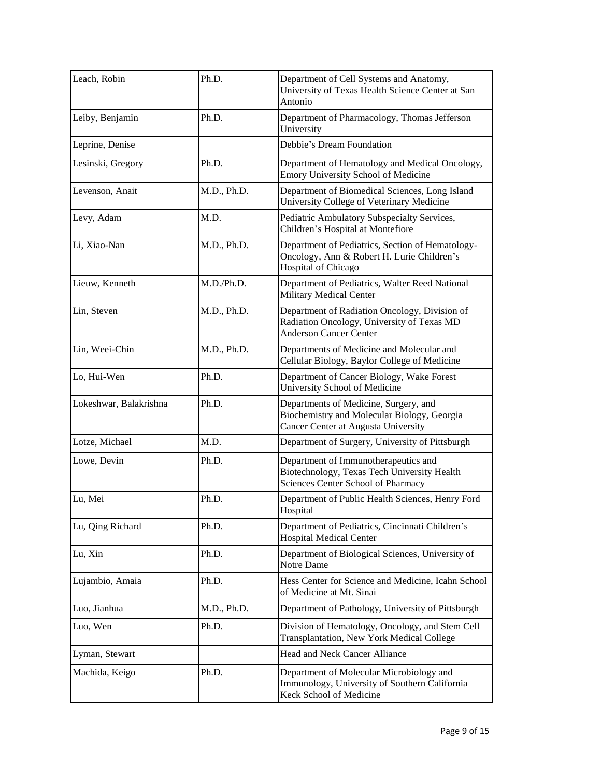| Leach, Robin           | Ph.D.       | Department of Cell Systems and Anatomy,<br>University of Texas Health Science Center at San<br>Antonio                       |
|------------------------|-------------|------------------------------------------------------------------------------------------------------------------------------|
| Leiby, Benjamin        | Ph.D.       | Department of Pharmacology, Thomas Jefferson<br>University                                                                   |
| Leprine, Denise        |             | Debbie's Dream Foundation                                                                                                    |
| Lesinski, Gregory      | Ph.D.       | Department of Hematology and Medical Oncology,<br>Emory University School of Medicine                                        |
| Levenson, Anait        | M.D., Ph.D. | Department of Biomedical Sciences, Long Island<br>University College of Veterinary Medicine                                  |
| Levy, Adam             | M.D.        | Pediatric Ambulatory Subspecialty Services,<br>Children's Hospital at Montefiore                                             |
| Li, Xiao-Nan           | M.D., Ph.D. | Department of Pediatrics, Section of Hematology-<br>Oncology, Ann & Robert H. Lurie Children's<br>Hospital of Chicago        |
| Lieuw, Kenneth         | M.D./Ph.D.  | Department of Pediatrics, Walter Reed National<br><b>Military Medical Center</b>                                             |
| Lin, Steven            | M.D., Ph.D. | Department of Radiation Oncology, Division of<br>Radiation Oncology, University of Texas MD<br><b>Anderson Cancer Center</b> |
| Lin, Weei-Chin         | M.D., Ph.D. | Departments of Medicine and Molecular and<br>Cellular Biology, Baylor College of Medicine                                    |
| Lo, Hui-Wen            | Ph.D.       | Department of Cancer Biology, Wake Forest<br>University School of Medicine                                                   |
| Lokeshwar, Balakrishna | Ph.D.       | Departments of Medicine, Surgery, and<br>Biochemistry and Molecular Biology, Georgia<br>Cancer Center at Augusta University  |
| Lotze, Michael         | M.D.        | Department of Surgery, University of Pittsburgh                                                                              |
| Lowe, Devin            | Ph.D.       | Department of Immunotherapeutics and<br>Biotechnology, Texas Tech University Health<br>Sciences Center School of Pharmacy    |
| Lu, Mei                | Ph.D.       | Department of Public Health Sciences, Henry Ford<br>Hospital                                                                 |
| Lu, Qing Richard       | Ph.D.       | Department of Pediatrics, Cincinnati Children's<br><b>Hospital Medical Center</b>                                            |
| Lu, Xin                | Ph.D.       | Department of Biological Sciences, University of<br>Notre Dame                                                               |
| Lujambio, Amaia        | Ph.D.       | Hess Center for Science and Medicine, Icahn School<br>of Medicine at Mt. Sinai                                               |
| Luo, Jianhua           | M.D., Ph.D. | Department of Pathology, University of Pittsburgh                                                                            |
| Luo, Wen               | Ph.D.       | Division of Hematology, Oncology, and Stem Cell<br>Transplantation, New York Medical College                                 |
| Lyman, Stewart         |             | Head and Neck Cancer Alliance                                                                                                |
| Machida, Keigo         | Ph.D.       | Department of Molecular Microbiology and<br>Immunology, University of Southern California<br>Keck School of Medicine         |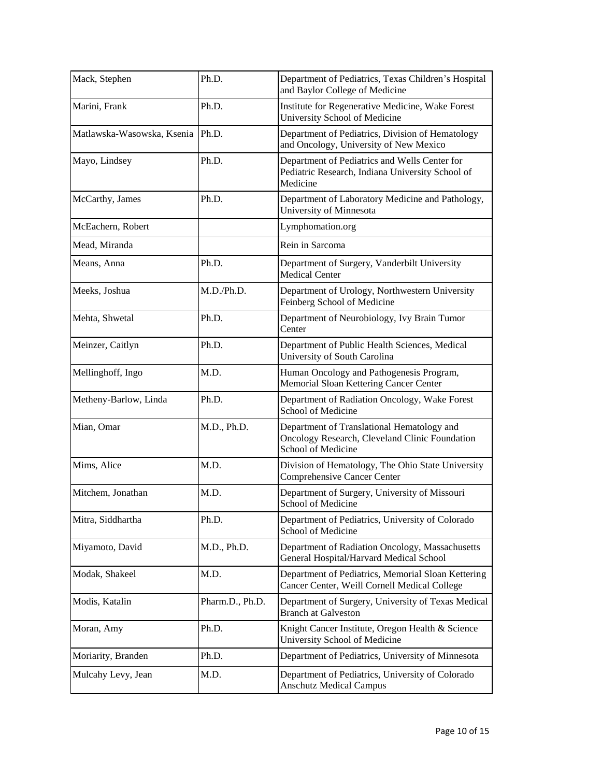| Mack, Stephen                    | Ph.D.           | Department of Pediatrics, Texas Children's Hospital<br>and Baylor College of Medicine                              |
|----------------------------------|-----------------|--------------------------------------------------------------------------------------------------------------------|
| Marini, Frank                    | Ph.D.           | Institute for Regenerative Medicine, Wake Forest<br>University School of Medicine                                  |
| Matlawska-Wasowska, Ksenia Ph.D. |                 | Department of Pediatrics, Division of Hematology<br>and Oncology, University of New Mexico                         |
| Mayo, Lindsey                    | Ph.D.           | Department of Pediatrics and Wells Center for<br>Pediatric Research, Indiana University School of<br>Medicine      |
| McCarthy, James                  | Ph.D.           | Department of Laboratory Medicine and Pathology,<br>University of Minnesota                                        |
| McEachern, Robert                |                 | Lymphomation.org                                                                                                   |
| Mead, Miranda                    |                 | Rein in Sarcoma                                                                                                    |
| Means, Anna                      | Ph.D.           | Department of Surgery, Vanderbilt University<br><b>Medical Center</b>                                              |
| Meeks, Joshua                    | M.D./Ph.D.      | Department of Urology, Northwestern University<br>Feinberg School of Medicine                                      |
| Mehta, Shwetal                   | Ph.D.           | Department of Neurobiology, Ivy Brain Tumor<br>Center                                                              |
| Meinzer, Caitlyn                 | Ph.D.           | Department of Public Health Sciences, Medical<br>University of South Carolina                                      |
| Mellinghoff, Ingo                | M.D.            | Human Oncology and Pathogenesis Program,<br>Memorial Sloan Kettering Cancer Center                                 |
| Metheny-Barlow, Linda            | Ph.D.           | Department of Radiation Oncology, Wake Forest<br>School of Medicine                                                |
| Mian, Omar                       | M.D., Ph.D.     | Department of Translational Hematology and<br>Oncology Research, Cleveland Clinic Foundation<br>School of Medicine |
| Mims, Alice                      | M.D.            | Division of Hematology, The Ohio State University<br>Comprehensive Cancer Center                                   |
| Mitchem, Jonathan                | M.D.            | Department of Surgery, University of Missouri<br>School of Medicine                                                |
| Mitra, Siddhartha                | Ph.D.           | Department of Pediatrics, University of Colorado<br>School of Medicine                                             |
| Miyamoto, David                  | M.D., Ph.D.     | Department of Radiation Oncology, Massachusetts<br>General Hospital/Harvard Medical School                         |
| Modak, Shakeel                   | M.D.            | Department of Pediatrics, Memorial Sloan Kettering<br>Cancer Center, Weill Cornell Medical College                 |
| Modis, Katalin                   | Pharm.D., Ph.D. | Department of Surgery, University of Texas Medical<br><b>Branch at Galveston</b>                                   |
| Moran, Amy                       | Ph.D.           | Knight Cancer Institute, Oregon Health & Science<br>University School of Medicine                                  |
| Moriarity, Branden               | Ph.D.           | Department of Pediatrics, University of Minnesota                                                                  |
| Mulcahy Levy, Jean               | M.D.            | Department of Pediatrics, University of Colorado<br><b>Anschutz Medical Campus</b>                                 |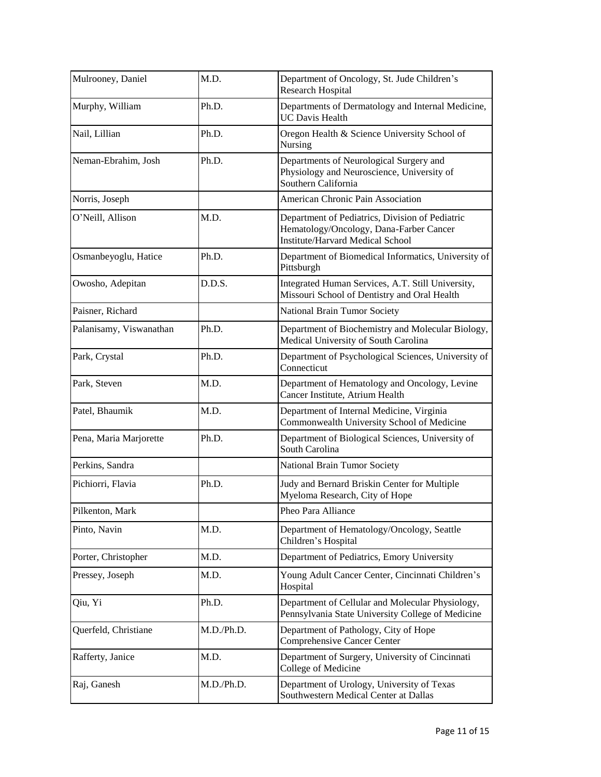| Mulrooney, Daniel       | M.D.       | Department of Oncology, St. Jude Children's<br><b>Research Hospital</b>                                                               |
|-------------------------|------------|---------------------------------------------------------------------------------------------------------------------------------------|
| Murphy, William         | Ph.D.      | Departments of Dermatology and Internal Medicine,<br><b>UC Davis Health</b>                                                           |
| Nail, Lillian           | Ph.D.      | Oregon Health & Science University School of<br>Nursing                                                                               |
| Neman-Ebrahim, Josh     | Ph.D.      | Departments of Neurological Surgery and<br>Physiology and Neuroscience, University of<br>Southern California                          |
| Norris, Joseph          |            | American Chronic Pain Association                                                                                                     |
| O'Neill, Allison        | M.D.       | Department of Pediatrics, Division of Pediatric<br>Hematology/Oncology, Dana-Farber Cancer<br><b>Institute/Harvard Medical School</b> |
| Osmanbeyoglu, Hatice    | Ph.D.      | Department of Biomedical Informatics, University of<br>Pittsburgh                                                                     |
| Owosho, Adepitan        | D.D.S.     | Integrated Human Services, A.T. Still University,<br>Missouri School of Dentistry and Oral Health                                     |
| Paisner, Richard        |            | National Brain Tumor Society                                                                                                          |
| Palanisamy, Viswanathan | Ph.D.      | Department of Biochemistry and Molecular Biology,<br>Medical University of South Carolina                                             |
| Park, Crystal           | Ph.D.      | Department of Psychological Sciences, University of<br>Connecticut                                                                    |
| Park, Steven            | M.D.       | Department of Hematology and Oncology, Levine<br>Cancer Institute, Atrium Health                                                      |
| Patel, Bhaumik          | M.D.       | Department of Internal Medicine, Virginia<br>Commonwealth University School of Medicine                                               |
| Pena, Maria Marjorette  | Ph.D.      | Department of Biological Sciences, University of<br>South Carolina                                                                    |
| Perkins, Sandra         |            | National Brain Tumor Society                                                                                                          |
| Pichiorri, Flavia       | Ph.D.      | Judy and Bernard Briskin Center for Multiple<br>Myeloma Research, City of Hope                                                        |
| Pilkenton, Mark         |            | Pheo Para Alliance                                                                                                                    |
| Pinto, Navin            | M.D.       | Department of Hematology/Oncology, Seattle<br>Children's Hospital                                                                     |
| Porter, Christopher     | M.D.       | Department of Pediatrics, Emory University                                                                                            |
| Pressey, Joseph         | M.D.       | Young Adult Cancer Center, Cincinnati Children's<br>Hospital                                                                          |
| Qiu, Yi                 | Ph.D.      | Department of Cellular and Molecular Physiology,<br>Pennsylvania State University College of Medicine                                 |
| Querfeld, Christiane    | M.D./Ph.D. | Department of Pathology, City of Hope<br>Comprehensive Cancer Center                                                                  |
| Rafferty, Janice        | M.D.       | Department of Surgery, University of Cincinnati<br>College of Medicine                                                                |
| Raj, Ganesh             | M.D./Ph.D. | Department of Urology, University of Texas<br>Southwestern Medical Center at Dallas                                                   |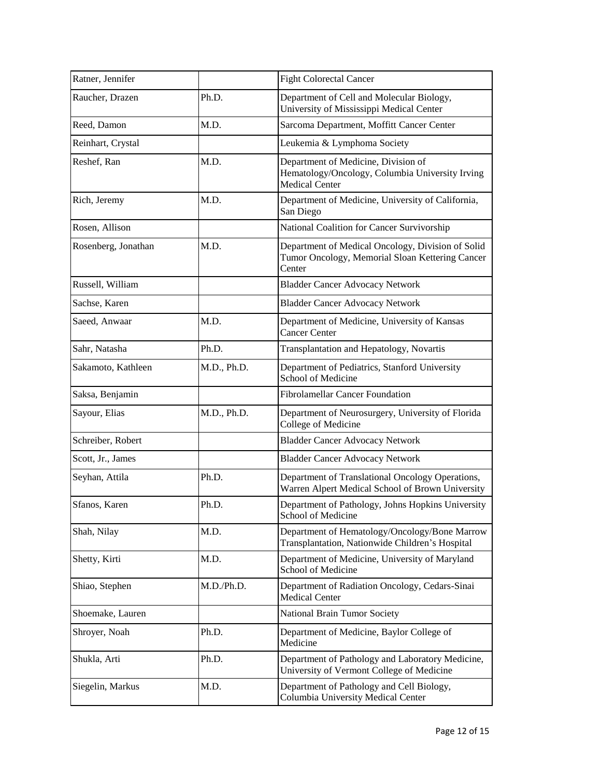| Ratner, Jennifer    |             | <b>Fight Colorectal Cancer</b>                                                                                  |
|---------------------|-------------|-----------------------------------------------------------------------------------------------------------------|
| Raucher, Drazen     | Ph.D.       | Department of Cell and Molecular Biology,<br>University of Mississippi Medical Center                           |
| Reed, Damon         | M.D.        | Sarcoma Department, Moffitt Cancer Center                                                                       |
| Reinhart, Crystal   |             | Leukemia & Lymphoma Society                                                                                     |
| Reshef, Ran         | M.D.        | Department of Medicine, Division of<br>Hematology/Oncology, Columbia University Irving<br><b>Medical Center</b> |
| Rich, Jeremy        | M.D.        | Department of Medicine, University of California,<br>San Diego                                                  |
| Rosen, Allison      |             | National Coalition for Cancer Survivorship                                                                      |
| Rosenberg, Jonathan | M.D.        | Department of Medical Oncology, Division of Solid<br>Tumor Oncology, Memorial Sloan Kettering Cancer<br>Center  |
| Russell, William    |             | <b>Bladder Cancer Advocacy Network</b>                                                                          |
| Sachse, Karen       |             | <b>Bladder Cancer Advocacy Network</b>                                                                          |
| Saeed, Anwaar       | M.D.        | Department of Medicine, University of Kansas<br><b>Cancer Center</b>                                            |
| Sahr, Natasha       | Ph.D.       | Transplantation and Hepatology, Novartis                                                                        |
| Sakamoto, Kathleen  | M.D., Ph.D. | Department of Pediatrics, Stanford University<br>School of Medicine                                             |
| Saksa, Benjamin     |             | <b>Fibrolamellar Cancer Foundation</b>                                                                          |
| Sayour, Elias       | M.D., Ph.D. | Department of Neurosurgery, University of Florida<br>College of Medicine                                        |
| Schreiber, Robert   |             | <b>Bladder Cancer Advocacy Network</b>                                                                          |
| Scott, Jr., James   |             | <b>Bladder Cancer Advocacy Network</b>                                                                          |
| Seyhan, Attila      | Ph.D.       | Department of Translational Oncology Operations,<br>Warren Alpert Medical School of Brown University            |
| Sfanos, Karen       | Ph.D.       | Department of Pathology, Johns Hopkins University<br>School of Medicine                                         |
| Shah, Nilay         | M.D.        | Department of Hematology/Oncology/Bone Marrow<br>Transplantation, Nationwide Children's Hospital                |
| Shetty, Kirti       | M.D.        | Department of Medicine, University of Maryland<br>School of Medicine                                            |
| Shiao, Stephen      | M.D./Ph.D.  | Department of Radiation Oncology, Cedars-Sinai<br><b>Medical Center</b>                                         |
| Shoemake, Lauren    |             | National Brain Tumor Society                                                                                    |
| Shroyer, Noah       | Ph.D.       | Department of Medicine, Baylor College of<br>Medicine                                                           |
| Shukla, Arti        | Ph.D.       | Department of Pathology and Laboratory Medicine,<br>University of Vermont College of Medicine                   |
| Siegelin, Markus    | M.D.        | Department of Pathology and Cell Biology,<br>Columbia University Medical Center                                 |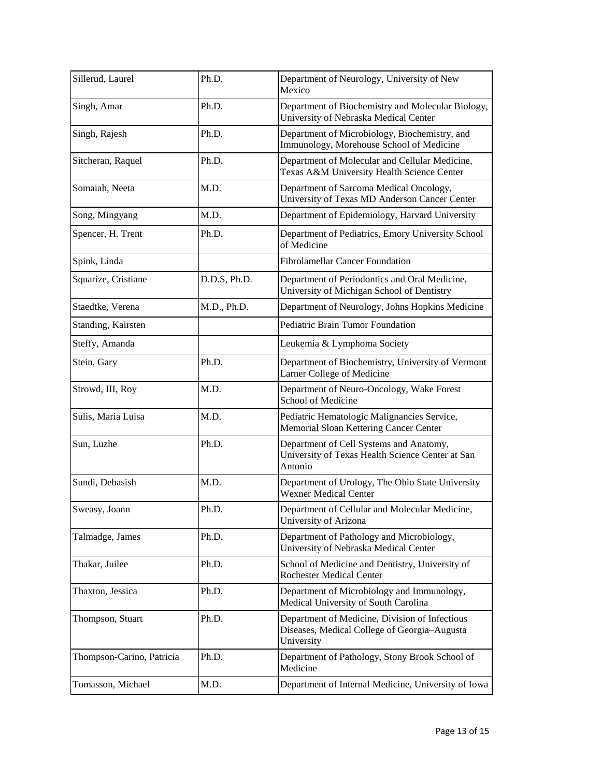| Sillerud, Laurel          | Ph.D.        | Department of Neurology, University of New<br>Mexico                                                         |
|---------------------------|--------------|--------------------------------------------------------------------------------------------------------------|
| Singh, Amar               | Ph.D.        | Department of Biochemistry and Molecular Biology,<br>University of Nebraska Medical Center                   |
| Singh, Rajesh             | Ph.D.        | Department of Microbiology, Biochemistry, and<br>Immunology, Morehouse School of Medicine                    |
| Sitcheran, Raquel         | Ph.D.        | Department of Molecular and Cellular Medicine,<br>Texas A&M University Health Science Center                 |
| Somaiah, Neeta            | M.D.         | Department of Sarcoma Medical Oncology,<br>University of Texas MD Anderson Cancer Center                     |
| Song, Mingyang            | M.D.         | Department of Epidemiology, Harvard University                                                               |
| Spencer, H. Trent         | Ph.D.        | Department of Pediatrics, Emory University School<br>of Medicine                                             |
| Spink, Linda              |              | <b>Fibrolamellar Cancer Foundation</b>                                                                       |
| Squarize, Cristiane       | D.D.S, Ph.D. | Department of Periodontics and Oral Medicine,<br>University of Michigan School of Dentistry                  |
| Staedtke, Verena          | M.D., Ph.D.  | Department of Neurology, Johns Hopkins Medicine                                                              |
| Standing, Kairsten        |              | Pediatric Brain Tumor Foundation                                                                             |
| Steffy, Amanda            |              | Leukemia & Lymphoma Society                                                                                  |
| Stein, Gary               | Ph.D.        | Department of Biochemistry, University of Vermont<br>Larner College of Medicine                              |
| Strowd, III, Roy          | M.D.         | Department of Neuro-Oncology, Wake Forest<br>School of Medicine                                              |
| Sulis, Maria Luisa        | M.D.         | Pediatric Hematologic Malignancies Service,<br>Memorial Sloan Kettering Cancer Center                        |
| Sun, Luzhe                | Ph.D.        | Department of Cell Systems and Anatomy,<br>University of Texas Health Science Center at San<br>Antonio       |
| Sundi, Debasish           | M.D.         | Department of Urology, The Ohio State University<br><b>Wexner Medical Center</b>                             |
| Sweasy, Joann             | Ph.D.        | Department of Cellular and Molecular Medicine,<br>University of Arizona                                      |
| Talmadge, James           | Ph.D.        | Department of Pathology and Microbiology,<br>University of Nebraska Medical Center                           |
| Thakar, Juilee            | Ph.D.        | School of Medicine and Dentistry, University of<br><b>Rochester Medical Center</b>                           |
| Thaxton, Jessica          | Ph.D.        | Department of Microbiology and Immunology,<br>Medical University of South Carolina                           |
| Thompson, Stuart          | Ph.D.        | Department of Medicine, Division of Infectious<br>Diseases, Medical College of Georgia-Augusta<br>University |
| Thompson-Carino, Patricia | Ph.D.        | Department of Pathology, Stony Brook School of<br>Medicine                                                   |
| Tomasson, Michael         | M.D.         | Department of Internal Medicine, University of Iowa                                                          |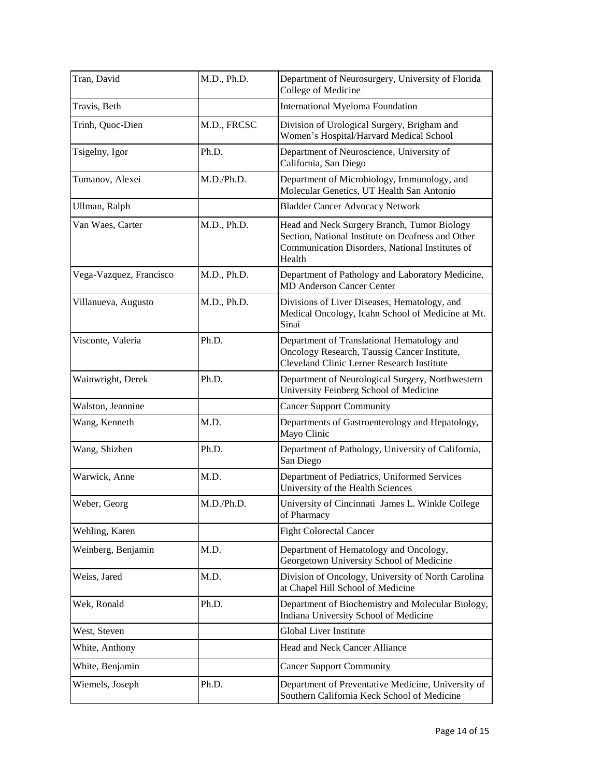| Tran, David             | M.D., Ph.D. | Department of Neurosurgery, University of Florida<br>College of Medicine                                                                                      |
|-------------------------|-------------|---------------------------------------------------------------------------------------------------------------------------------------------------------------|
| Travis, Beth            |             | <b>International Myeloma Foundation</b>                                                                                                                       |
| Trinh, Quoc-Dien        | M.D., FRCSC | Division of Urological Surgery, Brigham and<br>Women's Hospital/Harvard Medical School                                                                        |
| Tsigelny, Igor          | Ph.D.       | Department of Neuroscience, University of<br>California, San Diego                                                                                            |
| Tumanov, Alexei         | M.D./Ph.D.  | Department of Microbiology, Immunology, and<br>Molecular Genetics, UT Health San Antonio                                                                      |
| Ullman, Ralph           |             | <b>Bladder Cancer Advocacy Network</b>                                                                                                                        |
| Van Waes, Carter        | M.D., Ph.D. | Head and Neck Surgery Branch, Tumor Biology<br>Section, National Institute on Deafness and Other<br>Communication Disorders, National Institutes of<br>Health |
| Vega-Vazquez, Francisco | M.D., Ph.D. | Department of Pathology and Laboratory Medicine,<br><b>MD Anderson Cancer Center</b>                                                                          |
| Villanueva, Augusto     | M.D., Ph.D. | Divisions of Liver Diseases, Hematology, and<br>Medical Oncology, Icahn School of Medicine at Mt.<br>Sinai                                                    |
| Visconte, Valeria       | Ph.D.       | Department of Translational Hematology and<br>Oncology Research, Taussig Cancer Institute,<br>Cleveland Clinic Lerner Research Institute                      |
| Wainwright, Derek       | Ph.D.       | Department of Neurological Surgery, Northwestern<br>University Feinberg School of Medicine                                                                    |
| Walston, Jeannine       |             | <b>Cancer Support Community</b>                                                                                                                               |
| Wang, Kenneth           | M.D.        | Departments of Gastroenterology and Hepatology,<br>Mayo Clinic                                                                                                |
| Wang, Shizhen           | Ph.D.       | Department of Pathology, University of California,<br>San Diego                                                                                               |
| Warwick, Anne           | M.D.        | Department of Pediatrics, Uniformed Services<br>University of the Health Sciences                                                                             |
| Weber, Georg            | M.D./Ph.D.  | University of Cincinnati James L. Winkle College<br>of Pharmacy                                                                                               |
| Wehling, Karen          |             | <b>Fight Colorectal Cancer</b>                                                                                                                                |
| Weinberg, Benjamin      | M.D.        | Department of Hematology and Oncology,<br>Georgetown University School of Medicine                                                                            |
| Weiss, Jared            | M.D.        | Division of Oncology, University of North Carolina<br>at Chapel Hill School of Medicine                                                                       |
| Wek, Ronald             | Ph.D.       | Department of Biochemistry and Molecular Biology,<br>Indiana University School of Medicine                                                                    |
| West, Steven            |             | Global Liver Institute                                                                                                                                        |
| White, Anthony          |             | Head and Neck Cancer Alliance                                                                                                                                 |
| White, Benjamin         |             | <b>Cancer Support Community</b>                                                                                                                               |
| Wiemels, Joseph         | Ph.D.       | Department of Preventative Medicine, University of<br>Southern California Keck School of Medicine                                                             |